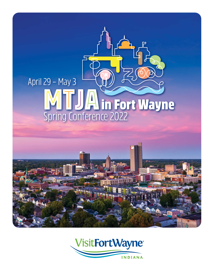

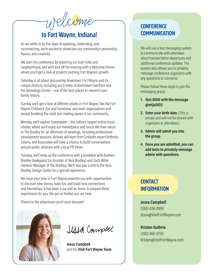upelcome

### **to Fort Wayne, Indiana!**

As we settle in for five days of exploring, celebrating, and reconnecting, we're excited to showcase our community's personality, flavors, and creativity.

We start the conference by exploring our host hotel and neighborhood, and we'll kick off the evening with a Welcome Dinner, where you'll get a look at projects pushing Fort Wayne's growth.

Saturday is all about discovering downtown Fort Wayne and its unique districts, including our 8 miles of downtown riverfront and the Genealogy Center – one of the best places to research your family history.

Sunday, we'll get a look at different assets in Fort Wayne, like the Fort Wayne Children's Zoo and Turnstone, and meet organizations and people breaking the mold and making waves in our community.

Monday, we'll explore Sweetwater – the nation's largest online music retailer, where we'll enjoy our marketplace and lunch. We then return to The Bradley for an afternoon of meetings, including professional development sessions. Actives will learn from LinkedIn expert Anthony Juliano, and Associates will have a chance to build conversations around public relations with a local PR Panel.

Tuesday, we'll wrap up the conference with a breakfast with Barbara Bradley Baekgaard (co-founder of Vera Bradley) and Zach Miller (General Manager of The Bradley.) We'll also pay a visit to the Vera Bradley Design Center for a special experience.

We hope your time in Fort Wayne presents you with opportunities to discover new stories, have fun, and build new connections and friendships. It has been a joy and an honor to prepare these experiences for you. We are so thrilled you are here.

Cheers to the adventures you'll soon discover!



Itssa Complet

**Jessa Campbell** and the **Visit Fort Wayne Team**

#### **CONFERENCE COMMUNICATION**

We will use a text messaging system to communicate with attendees about transportation departures and additional conference updates. The system also allows you to privately message conference organizers with any questions or concerns.

Please follow these steps to join the messaging group:

- **1. Text 81010 with the message @mtja2022**
- **2. Enter your birth date.** (This is private and will not be shared with organizers or attendees.)
- **3. Admin will admit you into the group.**
- **4. Once you are admitted, you can add texts to privately message admin with questions.**

#### **CONTACT INFORMATION**

**Jessa Campbell** (260) 438-0999 Jessa@VisitFortWayne.com

**Kristen Guthrie** (260) 460-0755 Kristen@VisitFortWayne.com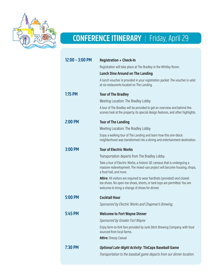

### **CONFERENCE ITINERARY** | Friday, April 29

| $12:00 - 3:00 P$ M | <b>Registration + Check-In</b>                                                                                                                                                                                  |
|--------------------|-----------------------------------------------------------------------------------------------------------------------------------------------------------------------------------------------------------------|
|                    | Registration will take place at The Bradley in the Whitley Room.                                                                                                                                                |
|                    | <b>Lunch Dine Around on The Landing</b>                                                                                                                                                                         |
|                    | A lunch voucher is provided in your registration packet. The voucher is valid<br>at six restaurants located on The Landing.                                                                                     |
| $1:15$ PM          | <b>Tour of The Bradley</b>                                                                                                                                                                                      |
|                    | Meeting Location: The Bradley Lobby                                                                                                                                                                             |
|                    | A tour of The Bradley will be provided to get an overview and behind-the-<br>scenes look at the property, its special design features, and other highlights.                                                    |
| 2:00 PM            | <b>Tour of The Landing</b>                                                                                                                                                                                      |
|                    | Meeting Location: The Bradley Lobby                                                                                                                                                                             |
|                    | Enjoy a walking tour of The Landing and learn how this one-block<br>neighborhood was transformed into a dining and entertainment destination.                                                                   |
| 3:00 PM            | <b>Tour of Electric Works</b>                                                                                                                                                                                   |
|                    | Transportation departs from The Bradley Lobby.                                                                                                                                                                  |
|                    | Take a tour of Electric Works, a historic GE campus that is undergoing a<br>massive redevelopment. The mixed-use project will become housing, shops,<br>a food hall, and more.                                  |
|                    | <b>Attire:</b> All visitors are required to wear hardhats (provided) and closed-<br>toe shoes. No open-toe shoes, shorts, or tank tops are permitted. You are<br>welcome to bring a change of shoes for dinner. |
| 5:00 PM            | <b>Cocktail Hour</b>                                                                                                                                                                                            |
|                    | Sponsored by Electric Works and Chapman's Brewing.                                                                                                                                                              |
| 5:45 PM            | <b>Welcome to Fort Wayne Dinner</b>                                                                                                                                                                             |
|                    | Sponsored by Greater Fort Wayne                                                                                                                                                                                 |
|                    | Enjoy farm-to-fork fare provided by Junk Ditch Brewing Company, with food<br>sourced from local farms.                                                                                                          |
|                    | <b>Attire: Dressy Casual</b>                                                                                                                                                                                    |
| 7:30 PM            | <b>Optional Late-Night Activity: TinCaps Baseball Game</b>                                                                                                                                                      |
|                    | Transportation to the baseball game departs from our dinner location.                                                                                                                                           |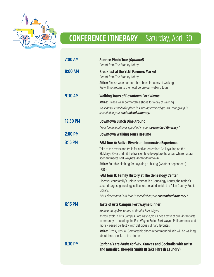

# **CONFERENCE ITINERARY** | Saturday, April 30

| 7:00 AM  | <b>Sunrise Photo Tour (Optional)</b><br>Depart from The Bradley Lobby                                                                                                                                                    |
|----------|--------------------------------------------------------------------------------------------------------------------------------------------------------------------------------------------------------------------------|
| 8:00 AM  | <b>Breakfast at the YLNI Farmers Market</b><br>Depart from The Bradley Lobby<br><b>Attire:</b> Please wear comfortable shoes for a day of walking.                                                                       |
|          | We will not return to the hotel before our walking tours.                                                                                                                                                                |
| 9:30 AM  | <b>Walking Tours of Downtown Fort Wayne</b>                                                                                                                                                                              |
|          | <b>Attire:</b> Please wear comfortable shoes for a day of walking.                                                                                                                                                       |
|          | Walking tours will take place in 4 pre-determined groups. Your group is<br>specified in your customized itinerary.                                                                                                       |
| 12:30 PM | <b>Downtown Lunch Dine Around</b>                                                                                                                                                                                        |
|          | *Your lunch location is specified in your <b>customized itinerary.</b> *                                                                                                                                                 |
| 2:00 PM  | <b>Downtown Walking Tours Resume</b>                                                                                                                                                                                     |
| 3:15 PM  | <b>FAM Tour A: Active Riverfront Immersive Experience</b>                                                                                                                                                                |
|          | Take to the rivers and trails for active recreation! Go kayaking on the<br>St. Marys River and hit the trails on bike to explore the areas where natural<br>scenery meets Fort Wayne's vibrant downtown.                 |
|          | Attire: Suitable clothing for kayaking or biking (weather dependent.)<br>$-$ OR $-$                                                                                                                                      |
|          | <b>FAM Tour B: Family History at The Genealogy Center</b>                                                                                                                                                                |
|          | Discover your family's unique story at The Genealogy Center, the nation's<br>second-largest genealogy collection. Located inside the Allen County Public<br>Library.                                                     |
|          | *Your designated FAM Tour is specified in your <b>customized itinerary</b> .*                                                                                                                                            |
| 6:15 PM  | <b>Taste of Arts Campus Fort Wayne Dinner</b>                                                                                                                                                                            |
|          | Sponsored by Arts United of Greater Fort Wayne                                                                                                                                                                           |
|          | As you explore Arts Campus Fort Wayne, you'll get a taste of our vibrant arts<br>community - including the Fort Wayne Ballet, Fort Wayne Philharmonic, and<br>more - paired perfectly with delicious culinary favorites. |
|          | Attire: Dressy Casual. Comfortable shoes recommended. We will be walking<br>about three blocks to the dinner.                                                                                                            |
| 8:30 PM  | <b>Optional Late-Night Activity: Canvas and Cocktails with artist</b><br>and muralist, Theoplis Smith III (aka Phresh Laundry)                                                                                           |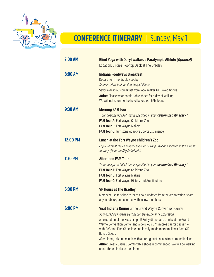

### **CONFERENCE ITINERARY** | Sunday, May 1

| 7:00 AM   | Blind Yoga with Daryl Walker, a Paralympic Athlete (Optional)<br>Location: Birdie's Rooftop Deck at The Bradley                                                                                                                                                                                                                                                                                                                                                                                                                                                         |
|-----------|-------------------------------------------------------------------------------------------------------------------------------------------------------------------------------------------------------------------------------------------------------------------------------------------------------------------------------------------------------------------------------------------------------------------------------------------------------------------------------------------------------------------------------------------------------------------------|
| 8:00 AM   | <b>Indiana Foodways Breakfast</b><br>Depart from The Bradley Lobby<br>Sponsored by Indiana Foodways Alliance<br>Savor a delicious breakfast from local maker, GK Baked Goods.<br><b>Attire:</b> Please wear comfortable shoes for a day of walking.<br>We will not return to the hotel before our FAM tours.                                                                                                                                                                                                                                                            |
| 9:30 AM   | <b>Morning FAM Tour</b><br>*Your designated FAM Tour is specified in your <b>customized itinerary.</b> *<br><b>FAM Tour A: Fort Wayne Children's Zoo</b><br><b>FAM Tour B: Fort Wayne Makers</b><br><b>FAM Tour C:</b> Turnstone Adaptive Sports Experience                                                                                                                                                                                                                                                                                                             |
| 12:00 PM  | <b>Lunch at the Fort Wayne Children's Zoo</b><br>Enjoy lunch at the Parkview Physicians Group Pavilions, located in the African<br>Journey. (Near the Sky Safari ride)                                                                                                                                                                                                                                                                                                                                                                                                  |
| $1:30$ PM | <b>Afternoon FAM Tour</b><br>*Your designated FAM Tour is specified in your <b>customized itinerary.</b> *<br><b>FAM Tour A: Fort Wayne Children's Zoo</b><br><b>FAM Tour B: Fort Wayne Makers</b><br><b>FAM Tour C:</b> Fort Wayne History and Architecture                                                                                                                                                                                                                                                                                                            |
| 5:00 PM   | <b>VP Hours at The Bradley</b><br>Members use this time to learn about updates from the organization, share<br>any feedback, and connect with fellow members.                                                                                                                                                                                                                                                                                                                                                                                                           |
| 6:00 PM   | <b>Visit Indiana Dinner</b> at the Grand Wayne Convention Center<br>Sponsored by Indiana Destination Development Corporation<br>A celebration of the Hoosier spirit! Enjoy dinner and drinks at the Grand<br>Wayne Convention Center and a delicious DIY s'mores bar for dessert -<br>with DeBrand Fine Chocolate and locally-made marshmallows from GK<br>Baked Goods,<br>After dinner, mix and mingle with amazing destinations from around Indiana!<br>Attire: Dressy Casual. Comfortable shoes recommended. We will be walking<br>about three blocks to the dinner. |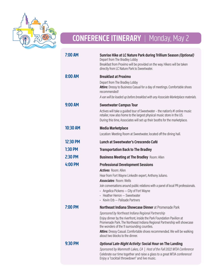

## **CONFERENCE ITINERARY** | Monday, May 2

| 7:00 AM        | Sunrise Hike at LC Nature Park during Trillium Season (Optional)<br>Depart from The Bradley Lobby<br>Breakfast from Proximo will be provided on the way. Hikers will be taken<br>directly from LC Nature Park to Sweetwater.                                                                                                                                            |
|----------------|-------------------------------------------------------------------------------------------------------------------------------------------------------------------------------------------------------------------------------------------------------------------------------------------------------------------------------------------------------------------------|
| 8:00 AM        | <b>Breakfast at Proximo</b><br>Depart from The Bradley Lobby<br>Attire: Dressy to Business Casual for a day of meetings. Comfortable shoes<br>recommended!<br>A van will be loaded up before breakfast with any Associate Marketplace materials.                                                                                                                        |
| 9:00 AM        | <b>Sweetwater Campus Tour</b><br>Actives will take a guided tour of Sweetwater – the nation's #1 online music<br>retailer, now also home to the largest physical music store in the US.<br>During this time, Associates will set up their booths for the marketplace.                                                                                                   |
| 10:30 AM       | <b>Media Marketplace</b><br>Location: Meeting Room at Sweetwater, located off the dining hall.                                                                                                                                                                                                                                                                          |
| 12:30 PM       | Lunch at Sweetwater's Crescendo Café                                                                                                                                                                                                                                                                                                                                    |
| <b>1:30 PM</b> | <b>Transportation Back to The Bradley</b>                                                                                                                                                                                                                                                                                                                               |
| 2:30 PM        | <b>Business Meeting at The Bradley Room: Allen</b>                                                                                                                                                                                                                                                                                                                      |
| 4:00 PM        | <b>Professional Development Sessions</b><br><b>Actives</b> Room: Allen<br>Hear from Fort Wayne LinkedIn expert, Anthony Juliano.<br><b>Associates</b> Room: Wells<br>Join conversations around public relations with a panel of local PR professionals.<br>- Angelica Pickens - City of Fort Wayne<br>Heather Herron - Sweetwater<br>• Kevin Erb - Palisade Partners    |
| 7:00 PM        | Northeast Indiana Showcase Dinner at Promenade Park                                                                                                                                                                                                                                                                                                                     |
|                | Sponsored by Northeast Indiana Regional Partnership<br>Enjoy dinner by the riverfront, inside the Park Foundation Pavilion at<br>Promenade Park. The Northeast Indiana Regional Partnership will showcase<br>the wonders of the 11 surrounding counties.<br>Attire: Dressy Casual. Comfortable shoes recommended. We will be walking<br>about two blocks to the dinner. |
| <b>9:30 PM</b> | <b>Optional Late-Night Activity: Social Hour on The Landing</b><br>Sponsored by Mammoth Lakes, CA   Host of the Fall 2022 MTJA Conference<br>Celebrate our time together and raise a glass to a great MTJA conference!<br>Enjoy a "cocktail throwdown" and live music.                                                                                                  |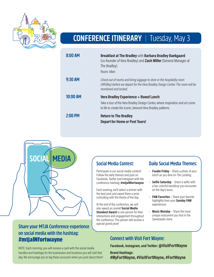

### **CONFERENCE ITINERARY** | Tuesday, May 3

| 8:00 AM    | <b>Breakfast at The Bradley with Barbara Bradley Baekgaard</b><br>(co-founder of Vera Bradley) and Zach Miller (General Manager at<br>The Bradley)<br>Room: Allen                 |
|------------|-----------------------------------------------------------------------------------------------------------------------------------------------------------------------------------|
| $9:30$ AM  | Check out of rooms and bring luggage to store in the hospitality room<br>(Whitley) before we depart for the Vera Bradley Design Center. The room will be<br>monitored and locked. |
| $10:00$ AM | Vera Bradley Experience + Boxed Lunch                                                                                                                                             |
|            | Take a tour of the Vera Bradley Design Center, where inspiration and art come<br>to life to create the iconic, beloved Vera Bradley patterns.                                     |
| $2:00$ PM  | <b>Return to The Bradley</b><br><b>Depart for Home or Post Tours!</b>                                                                                                             |



#### **Share your MTJA Conference experience on social media with the hashtag:** #mtjaINfortwayne

NOTE: Each morning, you will receive a card with the social media handles and hashtags for the businesses and locations you will visit that day. We encourage you to tag these accounts when you post about them!

#### **Social Media Contest:**

Participate in our social media contest! Follow the daily themes and post on Facebook, Twitter and Instagram with the conference hashtag: **#mtjaINfortwayne**

Each evening, we'll select a winner with the best post and award them a prize coinciding with the theme of the day.

At the end of the conference, we will also award an overall **Social Media Standout Award** to one person for their interactions and engagement throughout the conference. This person will receive a special grand prize!

#### **Daily Social Media Themes:**

- **Foodie Friday** Share a photo of your lunch as you dine on The Landing.
- **Selfie Saturday** Share a selfie with a fun, colorful backdrop you encounter on the day's tours.
- **FAM Favorites**  Share your favorite highlights from your **Sunday FAM** experiences.
- **Music Monday** Share the most unique instrument you find in the Sweetwater store.

#### **Connect with Visit Fort Wayne:**

**Facebook, Instagram, and Twitter: @VisitFortWayne**

**Brand Hashtags: #MyFortWayne, #VisitFortWayne, #FortWayne**